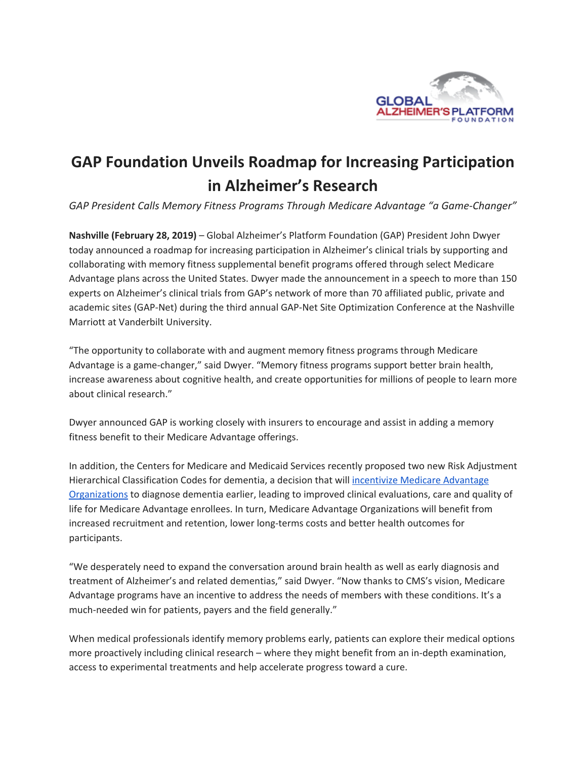

## **GAP Foundation Unveils Roadmap for Increasing Participation in Alzheimer's Research**

*GAP President Calls Memory Fitness Programs Through Medicare Advantage "a Game-Changer"*

**Nashville (February 28, 2019)** – Global Alzheimer's Platform Foundation (GAP) President John Dwyer today announced a roadmap for increasing participation in Alzheimer's clinical trials by supporting and collaborating with memory fitness supplemental benefit programs offered through select Medicare Advantage plans across the United States. Dwyer made the announcement in a speech to more than 150 experts on Alzheimer's clinical trials from GAP's network of more than 70 affiliated public, private and academic sites (GAP-Net) during the third annual GAP-Net Site Optimization Conference at the Nashville Marriott at Vanderbilt University.

"The opportunity to collaborate with and augment memory fitness programs through Medicare Advantage is a game-changer," said Dwyer. "Memory fitness programs support better brain health, increase awareness about cognitive health, and create opportunities for millions of people to learn more about clinical research."

Dwyer announced GAP is working closely with insurers to encourage and assist in adding a memory fitness benefit to their Medicare Advantage offerings.

In addition, the Centers for Medicare and Medicaid Services recently proposed two new Risk Adjustment Hierarchical Classification Codes for dementia, a decision that will incentivize Medicare [Advantage](https://www.linkedin.com/feed/update/urn:li:activity:6505212166432440320) [Organizations](https://www.linkedin.com/feed/update/urn:li:activity:6505212166432440320) to diagnose dementia earlier, leading to improved clinical evaluations, care and quality of life for Medicare Advantage enrollees. In turn, Medicare Advantage Organizations will benefit from increased recruitment and retention, lower long-terms costs and better health outcomes for participants.

"We desperately need to expand the conversation around brain health as well as early diagnosis and treatment of Alzheimer's and related dementias," said Dwyer. "Now thanks to CMS's vision, Medicare Advantage programs have an incentive to address the needs of members with these conditions. It's a much-needed win for patients, payers and the field generally."

When medical professionals identify memory problems early, patients can explore their medical options more proactively including clinical research – where they might benefit from an in-depth examination, access to experimental treatments and help accelerate progress toward a cure.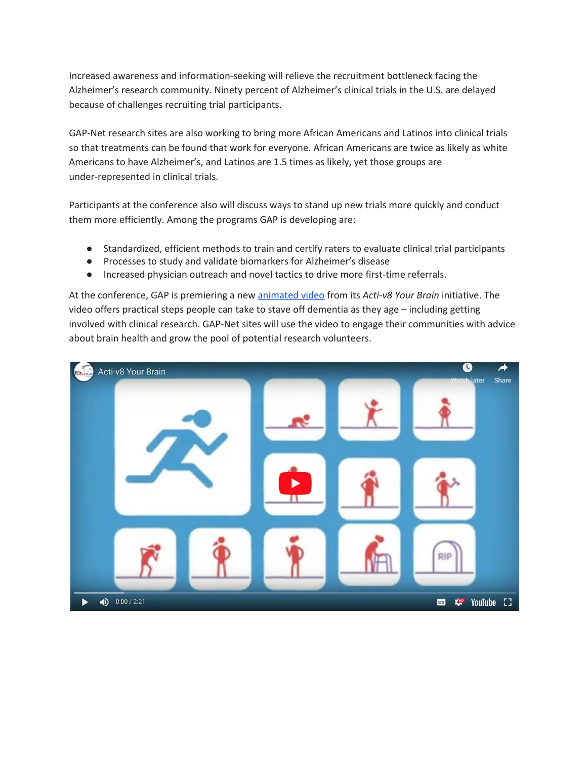Increased awareness and information-seeking will relieve the recruitment bottleneck facing the Alzheimer's research community. Ninety percent of Alzheimer's clinical trials in the U.S. are delayed because of challenges recruiting trial participants.

GAP-Net research sites are also working to bring more African Americans and Latinos into clinical trials so that treatments can be found that work for everyone. African Americans are twice as likely as white Americans to have Alzheimer's, and Latinos are 1.5 times as likely, yet those groups are under-represented in clinical trials.

Participants at the conference also will discuss ways to stand up new trials more quickly and conduct them more efficiently. Among the programs GAP is developing are:

- Standardized, efficient methods to train and certify raters to evaluate clinical trial participants
- Processes to study and validate biomarkers for Alzheimer's disease
- Increased physician outreach and novel tactics to drive more first-time referrals.

At the conference, GAP is premiering a new [animated](https://www.youtube.com/watch?v=7wivVLXauJY&feature=youtu.be) video from its *Acti-v8 Your Brain* initiative. The video offers practical steps people can take to stave off dementia as they age – including getting involved with clinical research. GAP-Net sites will use the video to engage their communities with advice about brain health and grow the pool of potential research volunteers.